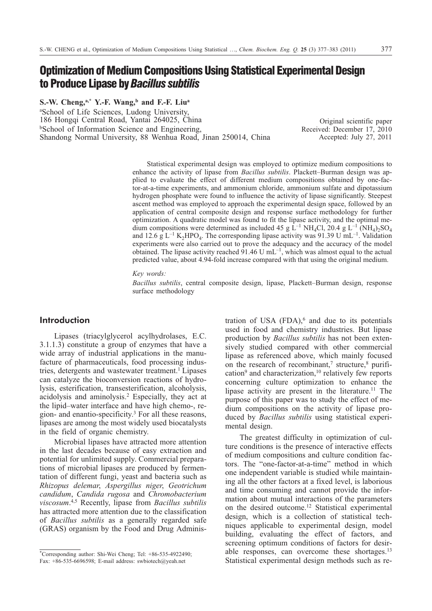# **Optimization of Medium Compositions Using Statistical Experimental Design to Produce Lipase by***Bacillus subtilis*

S.-W. Cheng,<sup>a,\*</sup> Y.-F. Wang,<sup>b</sup> and F.-F. Liu<sup>a</sup>

a School of Life Sciences, Ludong University, 186 Hongqi Central Road, Yantai 264025, China **bSchool of Information Science and Engineering,** Shandong Normal University, 88 Wenhua Road, Jinan 250014, China

Original scientific paper Received: December 17, 2010 Accepted: July 27, 2011

Statistical experimental design was employed to optimize medium compositions to enhance the activity of lipase from *Bacillus subtilis*. Plackett–Burman design was applied to evaluate the effect of different medium compositions obtained by one-factor-at-a-time experiments, and ammonium chloride, ammonium sulfate and dipotassium hydrogen phosphate were found to influence the activity of lipase significantly. Steepest ascent method was employed to approach the experimental design space, followed by an application of central composite design and response surface methodology for further optimization. A quadratic model was found to fit the lipase activity, and the optimal medium compositions were determined as included 45 g  $L^{-1}$  NH<sub>4</sub>Cl, 20.4 g  $L^{-1}$  (NH<sub>4</sub>)<sub>2</sub>SO<sub>4</sub> and 12.6 g L<sup>-1</sup> K<sub>2</sub>HPO<sub>4</sub>. The corresponding lipase activity was 91.39 U mL<sup>-1</sup>. Validation experiments were also carried out to prove the adequacy and the accuracy of the model obtained. The lipase activity reached  $91.46 \text{ U mL}^{-1}$ , which was almost equal to the actual predicted value, about 4.94-fold increase compared with that using the original medium.

*Key words:*

*Bacillus subtilis*, central composite design, lipase, Plackett–Burman design, response surface methodology

## **Introduction**

Lipases (triacylglycerol acylhydrolases, E.C. 3.1.1.3) constitute a group of enzymes that have a wide array of industrial applications in the manufacture of pharmaceuticals, food processing industries, detergents and wastewater treatment.<sup>1</sup> Lipases can catalyze the bioconversion reactions of hydrolysis, esterification, transesterification, alcoholysis, acidolysis and aminolysis.2 Especially, they act at the lipid–water interface and have high chemo-, region- and enantio-specificity.3 For all these reasons, lipases are among the most widely used biocatalysts in the field of organic chemistry.

Microbial lipases have attracted more attention in the last decades because of easy extraction and potential for unlimited supply. Commercial preparations of microbial lipases are produced by fermentation of different fungi, yeast and bacteria such as *Rhizopus delemar*, *Aspergillus niger*, *Geotrichum candidum*, *Candida rugosa* and *Chromobacterium viscosum*. 4,5 Recently, lipase from *Bacillus subtilis* has attracted more attention due to the classification of *Bacillus subtilis* as a generally regarded safe (GRAS) organism by the Food and Drug Administration of USA  $(FDA)$ , and due to its potentials used in food and chemistry industries. But lipase production by *Bacillus subtilis* has not been extensively studied compared with other commercial lipase as referenced above, which mainly focused on the research of recombinant,<sup>7</sup> structure, $8$  purification<sup>9</sup> and characterization,<sup>10</sup> relatively few reports concerning culture optimization to enhance the lipase activity are present in the literature.<sup>11</sup> The purpose of this paper was to study the effect of medium compositions on the activity of lipase produced by *Bacillus subtilis* using statistical experimental design.

The greatest difficulty in optimization of culture conditions is the presence of interactive effects of medium compositions and culture condition factors. The "one-factor-at-a-time" method in which one independent variable is studied while maintaining all the other factors at a fixed level, is laborious and time consuming and cannot provide the information about mutual interactions of the parameters on the desired outcome.12 Statistical experimental design, which is a collection of statistical techniques applicable to experimental design, model building, evaluating the effect of factors, and screening optimum conditions of factors for desirable responses, can overcome these shortages.13 Statistical experimental design methods such as re-

<sup>\*</sup>Corresponding author: Shi-Wei Cheng; Tel: +86-535-4922490; Fax: +86-535-6696598; E-mail address: swbiotech@yeah.net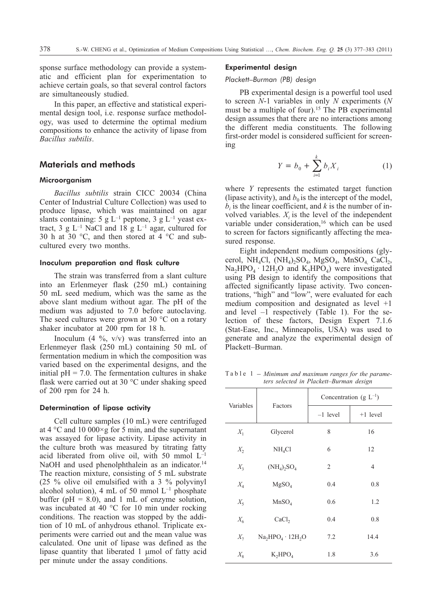sponse surface methodology can provide a systematic and efficient plan for experimentation to achieve certain goals, so that several control factors are simultaneously studied.

In this paper, an effective and statistical experimental design tool, i.e. response surface methodology, was used to determine the optimal medium compositions to enhance the activity of lipase from *Bacillus subtilis*.

# **Materials and methods**

## Microorganism

*Bacillus subtilis* strain CICC 20034 (China Center of Industrial Culture Collection) was used to produce lipase, which was maintained on agar slants containing: 5 g L<sup>-1</sup> peptone, 3 g L<sup>-1</sup> yeast extract, 3 g  $L^{-1}$  NaCl and 18 g  $L^{-1}$  agar, cultured for 30 h at 30 °C, and then stored at 4 °C and subcultured every two months.

## Inoculum preparation and flask culture

The strain was transferred from a slant culture into an Erlenmeyer flask (250 mL) containing 50 mL seed medium, which was the same as the above slant medium without agar. The pH of the medium was adjusted to 7.0 before autoclaving. The seed cultures were grown at 30 °C on a rotary shaker incubator at 200 rpm for 18 h.

Inoculum  $(4 \frac{9}{6}, v/v)$  was transferred into an Erlenmeyer flask (250 mL) containing 50 mL of fermentation medium in which the composition was varied based on the experimental designs, and the initial  $pH = 7.0$ . The fermentation cultures in shake flask were carried out at 30 °C under shaking speed of 200 rpm for 24 h.

## Determination of lipase activity

Cell culture samples (10 mL) were centrifuged at 4 °C and 10 000×g for 5 min, and the supernatant was assayed for lipase activity. Lipase activity in the culture broth was measured by titrating fatty acid liberated from olive oil, with 50 mmol  $L^{-1}$ NaOH and used phenolphthalein as an indicator.<sup>14</sup> The reaction mixture, consisting of 5 mL substrate (25 % olive oil emulsified with a 3 % polyvinyl alcohol solution), 4 mL of 50 mmol  $L^{-1}$  phosphate buffer ( $pH = 8.0$ ), and 1 mL of enzyme solution, was incubated at 40 °C for 10 min under rocking conditions. The reaction was stopped by the addition of 10 mL of anhydrous ethanol. Triplicate experiments were carried out and the mean value was calculated. One unit of lipase was defined as the lipase quantity that liberated  $1 \text{ }\mu\text{mol}$  of fatty acid per minute under the assay conditions.

## Experimental design

## *Plackett–Burman (PB) design*

PB experimental design is a powerful tool used to screen *N*-1 variables in only *N* experiments (*N* must be a multiple of four).<sup>15</sup> The PB experimental design assumes that there are no interactions among the different media constituents. The following first-order model is considered sufficient for screening

$$
Y = b_0 + \sum_{i=1}^{k} b_i X_i
$$
 (1)

where *Y* represents the estimated target function (lipase activity), and  $b_0$  is the intercept of the model,  $b_i$  is the linear coefficient, and  $k$  is the number of involved variables.  $X_i$  is the level of the independent variable under consideration,<sup>16</sup> which can be used to screen for factors significantly affecting the measured response.

Eight independent medium compositions (glycerol, NH<sub>4</sub>Cl,  $(NH_4)$ <sub>2</sub>SO<sub>4</sub>, MgSO<sub>4</sub>, MnSO<sub>4</sub> CaCl<sub>2</sub>,  $Na<sub>2</sub>HPO<sub>4</sub> \cdot 12H<sub>2</sub>O$  and  $K<sub>2</sub>HPO<sub>4</sub>$ ) were investigated using PB design to identify the compositions that affected significantly lipase activity. Two concentrations, "high" and "low", were evaluated for each medium composition and designated as level +1 and level –1 respectively (Table 1). For the selection of these factors, Design Expert 7.1.6 (Stat-Ease, Inc., Minneapolis, USA) was used to generate and analyze the experimental design of Plackett–Burman.

Table 1 – *Minimum and maximum ranges for the parameters selected in Plackett–Burman design*

| Variables |                       | Concentration (g $L^{-1}$ ) |                |  |  |
|-----------|-----------------------|-----------------------------|----------------|--|--|
|           | Factors               | $-1$ level                  | $+1$ level     |  |  |
| $X_1$     | Glycerol              | 8                           | 16             |  |  |
| $X_2$     | NH <sub>4</sub> Cl    | 6                           | 12             |  |  |
| $X_3$     | $(NH_4)_2SO_4$        | 2                           | $\overline{4}$ |  |  |
| $X_4$     | MgSO <sub>4</sub>     | 0.4                         | 0.8            |  |  |
| $X_{5}$   | MnSO <sub>4</sub>     | 0.6                         | 1.2            |  |  |
| $X_6$     | CaCl <sub>2</sub>     | 0.4                         | 0.8            |  |  |
| $X_7$     | $Na2HPO4 \cdot 12H2O$ | 7.2                         | 14.4           |  |  |
| $X_8$     | $K_2HPO_4$            | 1.8                         | 3.6            |  |  |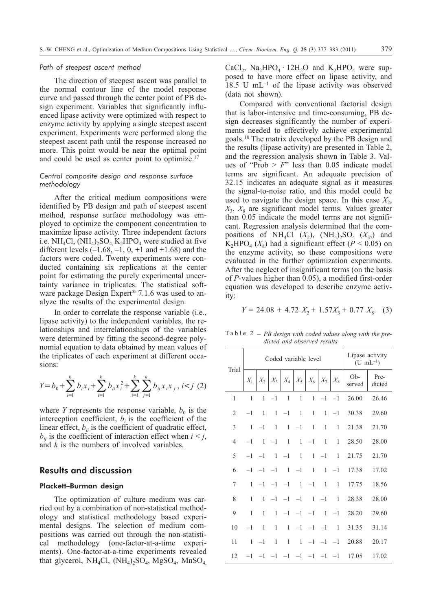#### *Path of steepest ascent method*

The direction of steepest ascent was parallel to the normal contour line of the model response curve and passed through the center point of PB design experiment. Variables that significantly influenced lipase activity were optimized with respect to enzyme activity by applying a single steepest ascent experiment. Experiments were performed along the steepest ascent path until the response increased no more. This point would be near the optimal point and could be used as center point to optimize.<sup>17</sup>

## *Central composite design and response surface methodology*

After the critical medium compositions were identified by PB design and path of steepest ascent method, response surface methodology was employed to optimize the component concentration to maximize lipase activity. Three independent factors i.e.  $NH_4Cl$ ,  $(NH_4)_2SO_4$ ,  $K_2HPO_4$  were studied at five different levels  $(-1.68, -1, 0, +1, 0.04)$  and the factors were coded. Twenty experiments were conducted containing six replications at the center point for estimating the purely experimental uncertainty variance in triplicates. The statistical software package Design Expert<sup>®</sup> 7.1.6 was used to analyze the results of the experimental design.

In order to correlate the response variable (i.e., lipase activity) to the independent variables, the relationships and interrelationships of the variables were determined by fitting the second-degree polynomial equation to data obtained by mean values of the triplicates of each experiment at different occasions:

$$
Y = b_0 + \sum_{i=1}^{k} b_i x_i + \sum_{i=1}^{k} b_{ii} x_i^2 + \sum_{i=1}^{k} \sum_{j=1}^{k} b_{ij} x_i x_j, \quad i < j \tag{2}
$$

where *Y* represents the response variable,  $b<sub>0</sub>$  is the interception coefficient,  $b_i$  is the coefficient of the linear effect,  $b_{ii}$  is the coefficient of quadratic effect,  $b_{ii}$  is the coefficient of interaction effect when  $i < j$ , and *k* is the numbers of involved variables.

# **Results and discussion**

## Plackett–Burman design

The optimization of culture medium was carried out by a combination of non-statistical methodology and statistical methodology based experimental designs. The selection of medium compositions was carried out through the non-statistical methodology (one-factor-at-a-time experiments). One-factor-at-a-time experiments revealed that glycerol,  $NH_4Cl$ ,  $(NH_4)_2SO_4$ ,  $MgSO_4$ ,  $MnSO_4$  CaCl<sub>2</sub>, Na<sub>2</sub>HPO<sub>4</sub> · 12H<sub>2</sub>O and K<sub>2</sub>HPO<sub>4</sub> were supposed to have more effect on lipase activity, and  $18.5$  U mL<sup>-1</sup> of the lipase activity was observed (data not shown).

Compared with conventional factorial design that is labor-intensive and time-consuming, PB design decreases significantly the number of experiments needed to effectively achieve experimental goals.18 The matrix developed by the PB design and the results (lipase activity) are presented in Table 2, and the regression analysis shown in Table 3. Values of "Prob  $> F$ " less than 0.05 indicate model terms are significant. An adequate precision of 32.15 indicates an adequate signal as it measures the signal-to-noise ratio, and this model could be used to navigate the design space. In this case  $X_2$ ,  $X_3$ ,  $X_8$  are significant model terms. Values greater than 0.05 indicate the model terms are not significant. Regression analysis determined that the compositions of NH<sub>4</sub>Cl  $(X_2)$ ,  $(NH_4)$ ,  $SO_4$   $(X_3)$  and K<sub>2</sub>HPO<sub>4</sub> ( $X_8$ ) had a significant effect ( $P < 0.05$ ) on the enzyme activity, so these compositions were evaluated in the further optimization experiments. After the neglect of insignificant terms (on the basis of *P*-values higher than 0.05), a modified first-order equation was developed to describe enzyme activity:

$$
Y = 24.08 + 4.72 X_2 + 1.57X_3 + 0.77 X_8. (3)
$$

Table 2 – *PB design with coded values along with the predicted and observed results*

|                | Coded variable level |                               |              |              |              |                                                             | Lipase activity<br>$(U \text{ mL}^{-1})$ |              |               |                |
|----------------|----------------------|-------------------------------|--------------|--------------|--------------|-------------------------------------------------------------|------------------------------------------|--------------|---------------|----------------|
| Trial          | $X_1$                |                               |              |              |              | $X_2 \mid X_3 \mid X_4 \mid X_5 \mid X_6 \mid X_7 \mid X_8$ |                                          |              | Ob-<br>served | Pre-<br>dicted |
| 1              | 1                    | 1                             | $-1$         | $\mathbf{1}$ | $\mathbf{1}$ | $\mathbf{1}$                                                | $-1$                                     | $-1$         | 26.00         | 26.46          |
| $\overline{2}$ | $-1$                 | $\mathbf{1}$                  | $\mathbf{1}$ | $-1$         | $\mathbf{1}$ | $\mathbf{1}$                                                | $\mathbf{1}$                             | $-1$         | 30.38         | 29.60          |
| 3              | $\mathbf{1}$         | $-1$                          | 1            | 1            | $-1$         | 1                                                           | 1                                        | $\mathbf{1}$ | 21.38         | 21.70          |
| $\overline{4}$ | $-1$                 | $\mathbf{1}$                  | $-1$         | $\mathbf{1}$ | $\mathbf{1}$ | $-1$                                                        | $\mathbf{1}$                             | 1            | 28.50         | 28.00          |
| 5              | $-1$                 | $-1$                          |              | $1 -1$       | $\mathbf{1}$ | 1                                                           | $-1$                                     | 1            | 21.75         | 21.70          |
| 6              | $-1$                 | $-1$                          | $-1$         |              | $1 -1$       | 1                                                           | $\mathbf{1}$                             | $-1$         | 17.38         | 17.02          |
| 7              | 1                    | $-1$                          | $-1$         | $-1$         | $\mathbf{1}$ | $-1$                                                        | 1                                        | 1            | 17.75         | 18.56          |
| 8              | 1                    | 1                             | $-1$         | $-1$ $-1$    |              | -1                                                          | $-1$                                     | 1            | 28.38         | 28.00          |
| 9              | 1                    | 1                             | $\mathbf{1}$ | $-1$ $-1$    |              | $-1$                                                        | $\mathbf{1}$                             | $-1$         | 28.20         | 29.60          |
| 10             | $-1$                 | 1                             | 1            | 1            | $-1$         | $-1$                                                        | $-1$                                     | 1            | 31.35         | 31.14          |
| 11             | 1                    | $-1$                          | 1            | $\mathbf{1}$ | 1            |                                                             | $-1$ $-1$ $-1$                           |              | 20.88         | 20.17          |
| 12             | $-1$                 | $-1$ $-1$ $-1$ $-1$ $-1$ $-1$ |              |              |              |                                                             |                                          |              | 17.05         | 17.02          |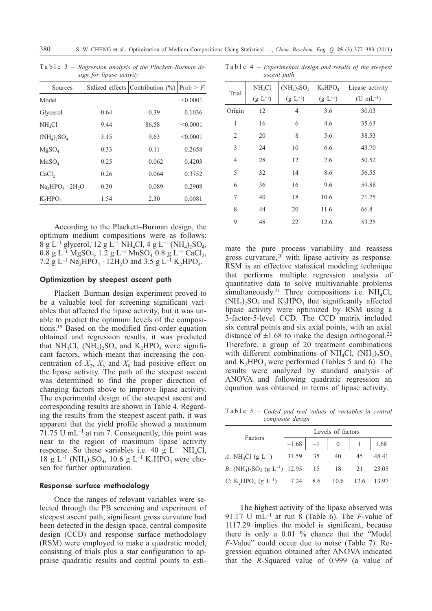Table 3 – *Regression analysis of the Plackett–Burman design for lipase activity*

| Sources                               |         | Stdized effects Contribution $(\%)$ | Prob > F |
|---------------------------------------|---------|-------------------------------------|----------|
| Model                                 |         |                                     | < 0.0001 |
| Glycerol                              | $-0.64$ | 0.39                                | 0.1036   |
| NH <sub>4</sub> Cl                    | 9.44    | 86.58                               | < 0.0001 |
| $(NH_4)$ <sub>2</sub> SO <sub>4</sub> | 3.15    | 9.63                                | < 0.0001 |
| MgSO <sub>4</sub>                     | 0.33    | 0.11                                | 0.2658   |
| MnSO <sub>4</sub>                     | 0.25    | 0.062                               | 0.4203   |
| CaCl <sub>2</sub>                     | 0.26    | 0.064                               | 0.3752   |
| $Na2HPO4 \cdot 2H2O$                  | $-0.30$ | 0.089                               | 0.2908   |
| $K_2HPO_4$                            | 1.54    | 2.30                                | 0.0081   |

According to the Plackett–Burman design, the optimum medium compositions were as follows:  $8$  g L<sup>-1</sup> glycerol, 12 g L<sup>-1</sup> NH<sub>4</sub>Cl, 4 g L<sup>-1</sup> (NH<sub>4</sub>)<sub>2</sub>SO<sub>4</sub>,  $0.8 \text{ g L}^{-1} \text{ MgSO}_4$ , 1.2 g L<sup>-1</sup> MnSO<sub>4</sub>, 0.8 g L<sup>-1</sup> CaCl<sub>2</sub>, 7.2 g L<sup>-1</sup> Na<sub>2</sub>HPO<sub>4</sub> · 12H<sub>2</sub>O and 3.5 g L<sup>-1</sup> K<sub>2</sub>HPO<sub>4</sub>.

## Optimization by steepest ascent path

Plackett–Burman design experiment proved to be a valuable tool for screening significant variables that affected the lipase activity, but it was unable to predict the optimum levels of the compositions.19 Based on the modified first-order equation obtained and regression results, it was predicted that NH<sub>4</sub>Cl,  $(NH_4)_2SO_4$  and  $K_2HPO_4$  were significant factors, which meant that increasing the concentration of  $X_2$ ,  $X_3$  and  $X_8$  had positive effect on the lipase activity. The path of the steepest ascent was determined to find the proper direction of changing factors above to improve lipase activity. The experimental design of the steepest ascent and corresponding results are shown in Table 4. Regarding the results from the steepest ascent path, it was apparent that the yield profile showed a maximum 71.75 U mL $^{-1}$  at run 7. Consequently, this point was near to the region of maximum lipase activity response. So these variables i.e. 40 g  $L^{-1}$  NH<sub>4</sub>Cl,  $18 \text{ g } L^{-1}$  (NH<sub>4</sub>)<sub>2</sub>SO<sub>4</sub>, 10.6 g L<sup>-1</sup> K<sub>2</sub>HPO<sub>4</sub> were chosen for further optimization.

## Response surface methodology

Once the ranges of relevant variables were selected through the PB screening and experiment of steepest ascent path, significant gross curvature had been detected in the design space, central composite design (CCD) and response surface methodology (RSM) were employed to make a quadratic model, consisting of trials plus a star configuration to appraise quadratic results and central points to esti-

| uscent puth    |                    |                |              |                  |  |  |
|----------------|--------------------|----------------|--------------|------------------|--|--|
| Trial          | NH <sub>4</sub> Cl | $(NH_4)_2SO_4$ | $K_2HPO_4$   | Lipase activity  |  |  |
|                | $(g L^{-1})$       | $(g L^{-1})$   | $(g L^{-1})$ | $(U \, mL^{-1})$ |  |  |
| Origin         | 12                 | 4              | 3.6          | 30.03            |  |  |
| 1              | 16                 | 6              | 4.6          | 35.63            |  |  |
| 2              | 20                 | 8              | 5.6          | 38.53            |  |  |
| 3              | 24                 | 10             | 6.6          | 43.70            |  |  |
| $\overline{4}$ | 28                 | 12             | 7.6          | 50.52            |  |  |
| 5              | 32                 | 14             | 8.6          | 56.55            |  |  |
| 6              | 36                 | 16             | 9.6          | 59.88            |  |  |
| 7              | 40                 | 18             | 10.6         | 71.75            |  |  |
| 8              | 44                 | 20             | 11.6         | 66.8             |  |  |
| 9              | 48                 | 22             | 12.6         | 53.25            |  |  |

Table 4 – *Experimental design and results of the steepest*

*ascent path*

mate the pure process variability and reassess gross curvature, $20$  with lipase activity as response. RSM is an effective statistical modeling technique that performs multiple regression analysis of quantitative data to solve multivariable problems simultaneously.<sup>21</sup> Three compositions i.e. NH<sub>4</sub>Cl,  $(NH_4)$ <sub>2</sub>SO<sub>4</sub> and K<sub>2</sub>HPO<sub>4</sub> that significantly affected lipase activity were optimized by RSM using a 3-factor-5-level CCD. The CCD matrix included six central points and six axial points, with an axial distance of  $\pm 1.68$  to make the design orthogonal.<sup>22</sup> Therefore, a group of 20 treatment combinations with different combinations of NH<sub>4</sub>Cl,  $(NH<sub>4</sub>)$ <sub>2</sub>SO<sub>4</sub> and  $K_2HPO_4$  were performed (Tables 5 and 6). The results were analyzed by standard analysis of ANOVA and following quadratic regression an equation was obtained in terms of lipase activity. Table 5 – *Coded and real values of variables in central*

*composite design*

|                                                                       | Levels of factors |                |    |            |       |  |  |
|-----------------------------------------------------------------------|-------------------|----------------|----|------------|-------|--|--|
| Factors                                                               |                   | $-1.68$ $-1$ 0 |    |            | 1.68  |  |  |
| A: NH <sub>4</sub> Cl (g L <sup>-1</sup> ) 31.59 35                   |                   |                | 40 | 45         | 48.41 |  |  |
| B: $(NH_4)$ , $SO_4$ (g L <sup>-1</sup> ) 12.95 15 18 21              |                   |                |    |            | 23.05 |  |  |
| C: K <sub>2</sub> HPO <sub>4</sub> (g L <sup>-1</sup> ) 7.24 8.6 10.6 |                   |                |    | 12.6 13.97 |       |  |  |

The highest activity of the lipase observed was 91.17 U mL<sup>-1</sup> at run 8 (Table 6). The *F*-value of 1117.29 implies the model is significant, because there is only a 0.01 % chance that the "Model *F*-Value" could occur due to noise (Table 7). Regression equation obtained after ANOVA indicated that the *R*-Squared value of 0.999 (a value of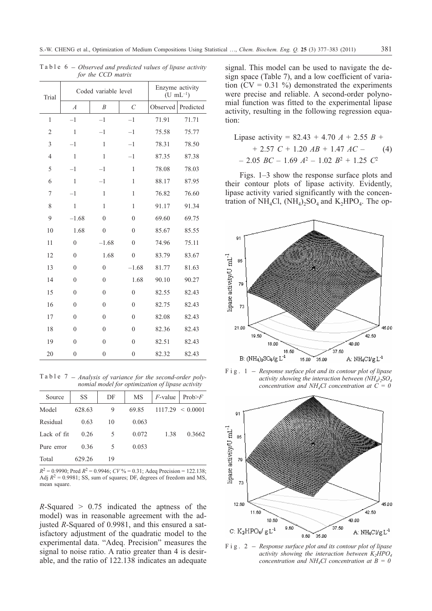| Trial          |                | Coded variable level | Enzyme activity<br>$(U \text{ mL}^{-1})$ |          |           |
|----------------|----------------|----------------------|------------------------------------------|----------|-----------|
|                | $\overline{A}$ | $\boldsymbol{B}$     | $\overline{C}$                           | Observed | Predicted |
| $\mathbf{1}$   | $-1$           | $-1$                 | $-1$                                     | 71.91    | 71.71     |
| $\overline{2}$ | $\mathbf{1}$   | $-1$                 | $-1$                                     | 75.58    | 75.77     |
| 3              | $-1$           | $\mathbf{1}$         | $-1$                                     | 78.31    | 78.50     |
| 4              | $\mathbf{1}$   | $\mathbf{1}$         | $-1$                                     | 87.35    | 87.38     |
| 5              | $-1$           | $-1$                 | $\mathbf{1}$                             | 78.08    | 78.03     |
| 6              | 1              | $-1$                 | 1                                        | 88.17    | 87.95     |
| 7              | $-1$           | $\mathbf{1}$         | $\mathbf{1}$                             | 76.82    | 76.60     |
| 8              | $\mathbf{1}$   | $\mathbf{1}$         | 1                                        | 91.17    | 91.34     |
| 9              | $-1.68$        | $\theta$             | $\theta$                                 | 69.60    | 69.75     |
| 10             | 1.68           | $\theta$             | $\theta$                                 | 85.67    | 85.55     |
| 11             | $\overline{0}$ | $-1.68$              | $\overline{0}$                           | 74.96    | 75.11     |
| 12             | $\theta$       | 1.68                 | $\overline{0}$                           | 83.79    | 83.67     |
| 13             | $\overline{0}$ | $\mathbf{0}$         | $-1.68$                                  | 81.77    | 81.63     |
| 14             | $\overline{0}$ | $\mathbf{0}$         | 1.68                                     | 90.10    | 90.27     |
| 15             | $\theta$       | $\theta$             | $\theta$                                 | 82.55    | 82.43     |
| 16             | $\theta$       | $\mathbf{0}$         | $\overline{0}$                           | 82.75    | 82.43     |
| 17             | $\overline{0}$ | $\theta$             | $\theta$                                 | 82.08    | 82.43     |
| 18             | $\theta$       | $\theta$             | $\theta$                                 | 82.36    | 82.43     |
| 19             | $\theta$       | $\theta$             | $\overline{0}$                           | 82.51    | 82.43     |
| 20             | $\overline{0}$ | $\mathbf{0}$         | $\overline{0}$                           | 82.32    | 82.43     |

Table 6 – *Observed and predicted values of lipase activity for the CCD matrix*

Table 7 – *Analysis of variance for the second-order polynomial model for optimization of lipase activity*

| Source      | SS     | DF | MS    | $F$ -value | Prob>F   |
|-------------|--------|----|-------|------------|----------|
| Model       | 628.63 | 9  | 69.85 | 1117.29    | < 0.0001 |
| Residual    | 0.63   | 10 | 0.063 |            |          |
| Lack of fit | 0.26   | 5  | 0.072 | 1.38       | 0.3662   |
| Pure error  | 0.36   | 5  | 0.053 |            |          |
| Total       | 629.26 | 19 |       |            |          |

 $R^2 = 0.9990$ ; Pred  $R^2 = 0.9946$ ; *CV*% = 0.31; Adeq Precision = 122.138; Adj  $R^2 = 0.9981$ ; SS, sum of squares; DF, degrees of freedom and MS, mean square.

 $R-Squared > 0.75$  indicated the aptness of the model) was in reasonable agreement with the adjusted *R*-Squared of 0.9981, and this ensured a satisfactory adjustment of the quadratic model to the experimental data. "Adeq. Precision" measures the signal to noise ratio. A ratio greater than 4 is desirable, and the ratio of 122.138 indicates an adequate signal. This model can be used to navigate the design space (Table 7), and a low coefficient of variation  $(CV = 0.31 \%)$  demonstrated the experiments were precise and reliable. A second-order polynomial function was fitted to the experimental lipase activity, resulting in the following regression equation:

Lipase activity = 82.43 + 4.70 
$$
A
$$
 + 2.55  $B$  +  
+ 2.57  $C$  + 1.20  $AB$  + 1.47  $AC$  - (4)  
- 2.05  $BC$  - 1.69  $A$ <sup>2</sup> - 1.02  $B$ <sup>2</sup> + 1.25  $C$ <sup>2</sup>

Figs. 1–3 show the response surface plots and their contour plots of lipase activity. Evidently, lipase activity varied significantly with the concentration of  $NH_4Cl$ ,  $(NH_4)_2SO_4$  and  $K_2HPO_4$ . The op-



*activity showing the interaction between (NH4)2SO4 concentration and NH4Cl concentration at C = 0*



*activity showing the interaction between K<sub>2</sub>HPO<sub>4</sub> concentration and NH4Cl concentration at B = 0*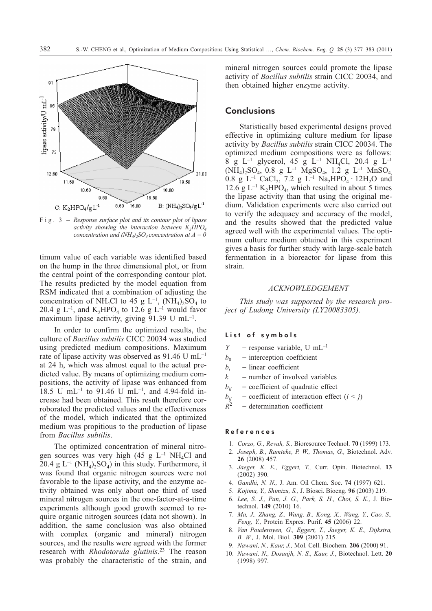

*activity showing the interaction between K<sub>2</sub>HPO<sub>4</sub> concentration and (NH<sub>4</sub>)<sub>2</sub>SO<sub>4</sub> <i>concentration at A = 0* 

timum value of each variable was identified based on the hump in the three dimensional plot, or from the central point of the corresponding contour plot. The results predicted by the model equation from RSM indicated that a combination of adjusting the concentration of NH<sub>4</sub>Cl to 45 g L<sup>-1</sup>, (NH<sub>4</sub>)<sub>2</sub>SO<sub>4</sub> to 20.4 g  $L^{-1}$ , and  $K_2HPO_4$  to 12.6 g  $L^{-1}$  would favor maximum lipase activity, giving  $91.39$  U mL<sup>-1</sup>.

In order to confirm the optimized results, the culture of *Bacillus subtilis* CICC 20034 was studied using predicted medium compositions. Maximum rate of lipase activity was observed as 91.46 U mL–1 at 24 h, which was almost equal to the actual predicted value. By means of optimizing medium compositions, the activity of lipase was enhanced from 18.5 U mL–1 to 91.46 U mL–1, and 4.94-fold increase had been obtained. This result therefore corroborated the predicted values and the effectiveness of the model, which indicated that the optimized medium was propitious to the production of lipase from *Bacillus subtilis*.

The optimized concentration of mineral nitrogen sources was very high (45 g  $L^{-1}$  NH<sub>4</sub>Cl and 20.4 g  $L^{-1}$  (NH<sub>4</sub>)<sub>2</sub>SO<sub>4</sub>) in this study. Furthermore, it was found that organic nitrogen sources were not favorable to the lipase activity, and the enzyme activity obtained was only about one third of used mineral nitrogen sources in the one-factor-at-a-time experiments although good growth seemed to require organic nitrogen sources (data not shown). In addition, the same conclusion was also obtained with complex (organic and mineral) nitrogen sources, and the results were agreed with the former research with *Rhodotorula glutinis*. <sup>23</sup> The reason was probably the characteristic of the strain, and mineral nitrogen sources could promote the lipase activity of *Bacillus subtilis* strain CICC 20034, and then obtained higher enzyme activity.

# **Conclusions**

Statistically based experimental designs proved effective in optimizing culture medium for lipase activity by *Bacillus subtilis* strain CICC 20034. The optimized medium compositions were as follows: 8 g L<sup>-1</sup> glycerol, 45 g L<sup>-1</sup> NH<sub>4</sub>Cl, 20.4 g L<sup>-1</sup>  $(NH_4)_2SO_4$ , 0.8 g L<sup>-1</sup> MgSO<sub>4</sub>, 1.2 g L<sup>-1</sup> MnSO<sub>4</sub> 0.8 g L<sup>-1</sup> CaCl<sub>2</sub>, 7.2 g L<sup>-1</sup> Na<sub>2</sub>HPO<sub>4</sub> · 12H<sub>2</sub>O and 12.6 g  $L^{-1}$  K<sub>2</sub>HPO<sub>4</sub>, which resulted in about 5 times the lipase activity than that using the original medium. Validation experiments were also carried out to verify the adequacy and accuracy of the model, and the results showed that the predicted value agreed well with the experimental values. The optimum culture medium obtained in this experiment gives a basis for further study with large-scale batch fermentation in a bioreactor for lipase from this strain.

#### *ACKNOWLEDGEMENT*

*This study was supported by the research project of Ludong University (LY20083305).*

#### List of symbols

- *Y* response variable, U mL<sup>-1</sup>
- $b_0$  interception coefficient<br>  $b_0$  linear coefficient
- $-$  linear coefficient
- $k$  number of involved variables
- $b_{ii}$  coefficient of quadratic effect<br>  $b_{ii}$  coefficient of interaction effect
- *b<sub>ij</sub>* coefficient of interaction effect (*i* < *j*)<br> $R^2$  determination coefficient
- determination coefficient

#### References

- 1. *Corzo, G., Revah, S.,* Bioresource Technol. **70** (1999) 173.
- 2. *Joseph, B., Ramteke, P. W., Thomas, G.,* Biotechnol. Adv. **26** (2008) 457.
- 3. *Jaeger, K. E., Eggert, T.,* Curr. Opin. Biotechnol. **13** (2002) 390.
- 4. *Gandhi, N. N.,* J. Am. Oil Chem. Soc. **74** (1997) 621.
- 5. *Kojima, Y., Shimizu, S.,* J. Biosci. Bioeng. **96** (2003) 219.
- 6. *Lee, S. J., Pan, J. G., Park, S. H., Choi, S. K.,* J. Biotechnol. **149** (2010) 16.
- 7. *Ma, J., Zhang, Z., Wang, B., Kong, X., Wang, Y., Cao, S., Feng, Y.,* Protein Expres. Purif. **45** (2006) 22.
- 8. *Van Pouderoyen, G., Eggert, T., Jaeger, K. E., Dijkstra, B. W.,* J. Mol. Biol. **309** (2001) 215.
- 9. *Nawani, N., Kaur, J.,* Mol. Cell. Biochem. **206** (2000) 91.
- 10. *Nawani, N., Dosanjh, N. S., Kaur, J.*, Biotechnol. Lett. **20** (1998) 997.